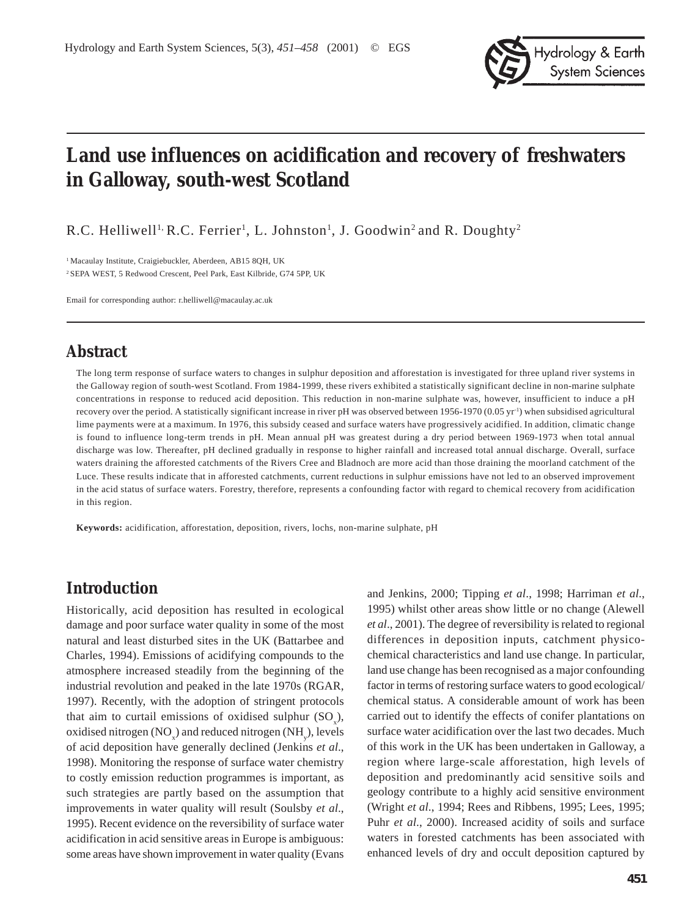

# **Land use influences on acidification and recovery of freshwaters in Galloway, south-west Scotland**

R.C. Helliwell<sup>1,</sup> R.C. Ferrier<sup>1</sup>, L. Johnston<sup>1</sup>, J. Goodwin<sup>2</sup> and R. Doughty<sup>2</sup>

<sup>1</sup> Macaulay Institute, Craigiebuckler, Aberdeen, AB15 8QH, UK 2 SEPA WEST, 5 Redwood Crescent, Peel Park, East Kilbride, G74 5PP, UK

Email for corresponding author: r.helliwell@macaulay.ac.uk

### **Abstract**

The long term response of surface waters to changes in sulphur deposition and afforestation is investigated for three upland river systems in the Galloway region of south-west Scotland. From 1984-1999, these rivers exhibited a statistically significant decline in non-marine sulphate concentrations in response to reduced acid deposition. This reduction in non-marine sulphate was, however, insufficient to induce a pH recovery over the period. A statistically significant increase in river pH was observed between 1956-1970 (0.05 yr<sup>-1</sup>) when subsidised agricultural lime payments were at a maximum. In 1976, this subsidy ceased and surface waters have progressively acidified. In addition, climatic change is found to influence long-term trends in pH. Mean annual pH was greatest during a dry period between 1969-1973 when total annual discharge was low. Thereafter, pH declined gradually in response to higher rainfall and increased total annual discharge. Overall, surface waters draining the afforested catchments of the Rivers Cree and Bladnoch are more acid than those draining the moorland catchment of the Luce. These results indicate that in afforested catchments, current reductions in sulphur emissions have not led to an observed improvement in the acid status of surface waters. Forestry, therefore, represents a confounding factor with regard to chemical recovery from acidification in this region.

**Keywords:** acidification, afforestation, deposition, rivers, lochs, non-marine sulphate, pH

### **Introduction**

Historically, acid deposition has resulted in ecological damage and poor surface water quality in some of the most natural and least disturbed sites in the UK (Battarbee and Charles, 1994). Emissions of acidifying compounds to the atmosphere increased steadily from the beginning of the industrial revolution and peaked in the late 1970s (RGAR, 1997). Recently, with the adoption of stringent protocols that aim to curtail emissions of oxidised sulphur  $(SO_x)$ , oxidised nitrogen  $(NO_x)$  and reduced nitrogen  $(NH_y)$ , levels of acid deposition have generally declined (Jenkins *et al*., 1998). Monitoring the response of surface water chemistry to costly emission reduction programmes is important, as such strategies are partly based on the assumption that improvements in water quality will result (Soulsby *et al*., 1995). Recent evidence on the reversibility of surface water acidification in acid sensitive areas in Europe is ambiguous: some areas have shown improvement in water quality (Evans

and Jenkins, 2000; Tipping *et al*., 1998; Harriman *et al*., 1995) whilst other areas show little or no change (Alewell *et al*., 2001). The degree of reversibility is related to regional differences in deposition inputs, catchment physicochemical characteristics and land use change. In particular, land use change has been recognised as a major confounding factor in terms of restoring surface waters to good ecological/ chemical status. A considerable amount of work has been carried out to identify the effects of conifer plantations on surface water acidification over the last two decades. Much of this work in the UK has been undertaken in Galloway, a region where large-scale afforestation, high levels of deposition and predominantly acid sensitive soils and geology contribute to a highly acid sensitive environment (Wright *et al*., 1994; Rees and Ribbens, 1995; Lees, 1995; Puhr *et al*., 2000). Increased acidity of soils and surface waters in forested catchments has been associated with enhanced levels of dry and occult deposition captured by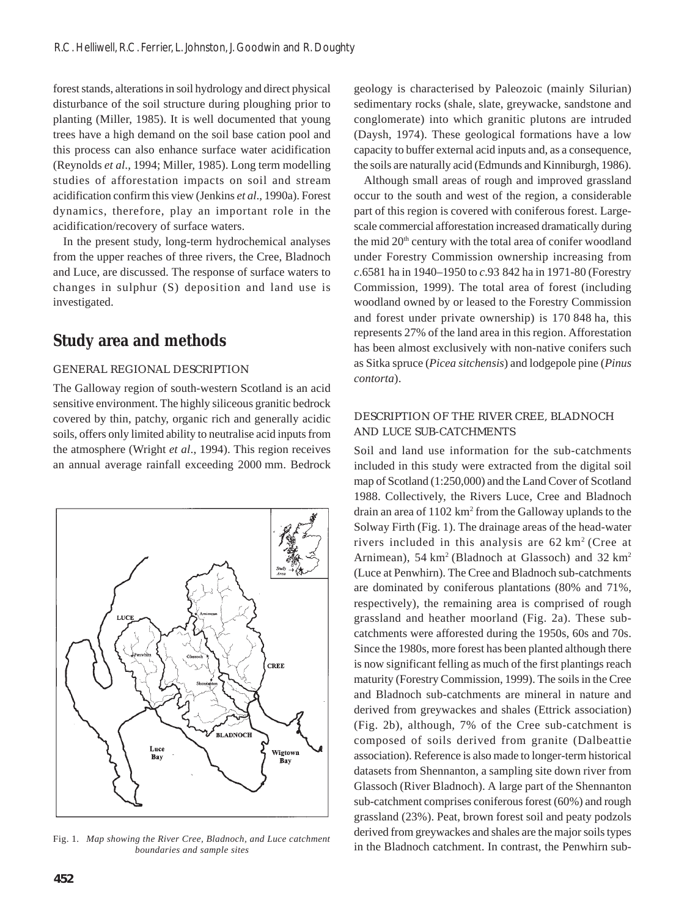forest stands, alterations in soil hydrology and direct physical disturbance of the soil structure during ploughing prior to planting (Miller, 1985). It is well documented that young trees have a high demand on the soil base cation pool and this process can also enhance surface water acidification (Reynolds *et al*., 1994; Miller, 1985). Long term modelling studies of afforestation impacts on soil and stream acidification confirm this view (Jenkins *et al*., 1990a). Forest dynamics, therefore, play an important role in the acidification/recovery of surface waters.

In the present study, long-term hydrochemical analyses from the upper reaches of three rivers, the Cree, Bladnoch and Luce, are discussed. The response of surface waters to changes in sulphur (S) deposition and land use is investigated.

# **Study area and methods**

### GENERAL REGIONAL DESCRIPTION

The Galloway region of south-western Scotland is an acid sensitive environment. The highly siliceous granitic bedrock covered by thin, patchy, organic rich and generally acidic soils, offers only limited ability to neutralise acid inputs from the atmosphere (Wright *et al*., 1994). This region receives an annual average rainfall exceeding 2000 mm. Bedrock



*boundaries and sample sites*

geology is characterised by Paleozoic (mainly Silurian) sedimentary rocks (shale, slate, greywacke, sandstone and conglomerate) into which granitic plutons are intruded (Daysh, 1974). These geological formations have a low capacity to buffer external acid inputs and, as a consequence, the soils are naturally acid (Edmunds and Kinniburgh, 1986).

Although small areas of rough and improved grassland occur to the south and west of the region, a considerable part of this region is covered with coniferous forest. Largescale commercial afforestation increased dramatically during the mid  $20<sup>th</sup>$  century with the total area of conifer woodland under Forestry Commission ownership increasing from *c*.6581 ha in 1940–1950 to *c*.93 842 ha in 1971-80 (Forestry Commission, 1999). The total area of forest (including woodland owned by or leased to the Forestry Commission and forest under private ownership) is 170 848 ha, this represents 27% of the land area in this region. Afforestation has been almost exclusively with non-native conifers such as Sitka spruce (*Picea sitchensis*) and lodgepole pine (*Pinus contorta*).

### DESCRIPTION OF THE RIVER CREE, BLADNOCH AND LUCE SUB-CATCHMENTS

Soil and land use information for the sub-catchments included in this study were extracted from the digital soil map of Scotland (1:250,000) and the Land Cover of Scotland 1988. Collectively, the Rivers Luce, Cree and Bladnoch drain an area of 1102 km<sup>2</sup> from the Galloway uplands to the Solway Firth (Fig. 1). The drainage areas of the head-water rivers included in this analysis are  $62 \text{ km}^2$  (Cree at Arnimean),  $54 \text{ km}^2$  (Bladnoch at Glassoch) and  $32 \text{ km}^2$ (Luce at Penwhirn). The Cree and Bladnoch sub-catchments are dominated by coniferous plantations (80% and 71%, respectively), the remaining area is comprised of rough grassland and heather moorland (Fig. 2a). These subcatchments were afforested during the 1950s, 60s and 70s. Since the 1980s, more forest has been planted although there is now significant felling as much of the first plantings reach maturity (Forestry Commission, 1999). The soils in the Cree and Bladnoch sub-catchments are mineral in nature and derived from greywackes and shales (Ettrick association) (Fig. 2b), although, 7% of the Cree sub-catchment is composed of soils derived from granite (Dalbeattie association). Reference is also made to longer-term historical datasets from Shennanton, a sampling site down river from Glassoch (River Bladnoch). A large part of the Shennanton sub-catchment comprises coniferous forest (60%) and rough grassland (23%). Peat, brown forest soil and peaty podzols derived from greywackes and shales are the major soils types in the Bladnoch catchment. In contrast, the Penwhirn sub- Fig. 1. *Map showing the River Cree, Bladnoch, and Luce catchment*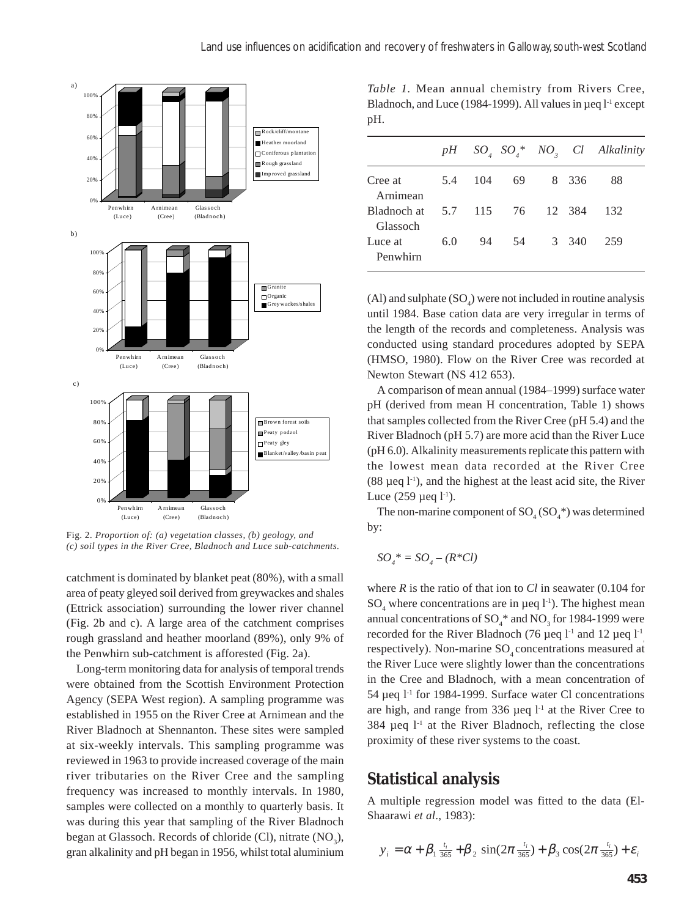

Fig. 2*. Proportion of: (a) vegetation classes, (b) geology, and (c) soil types in the River Cree, Bladnoch and Luce sub-catchments.*

catchment is dominated by blanket peat (80%), with a small area of peaty gleyed soil derived from greywackes and shales (Ettrick association) surrounding the lower river channel (Fig. 2b and c). A large area of the catchment comprises rough grassland and heather moorland (89%), only 9% of the Penwhirn sub-catchment is afforested (Fig. 2a).

Long-term monitoring data for analysis of temporal trends were obtained from the Scottish Environment Protection Agency (SEPA West region). A sampling programme was established in 1955 on the River Cree at Arnimean and the River Bladnoch at Shennanton. These sites were sampled at six-weekly intervals. This sampling programme was reviewed in 1963 to provide increased coverage of the main river tributaries on the River Cree and the sampling frequency was increased to monthly intervals. In 1980, samples were collected on a monthly to quarterly basis. It was during this year that sampling of the River Bladnoch began at Glassoch. Records of chloride (Cl), nitrate  $(NO<sub>3</sub>)$ , gran alkalinity and pH began in 1956, whilst total aluminium

*Table 1.* Mean annual chemistry from Rivers Cree, Bladnoch, and Luce (1984-1999). All values in  $\mu$ eq l<sup>-1</sup> except pH.

|                         |     |     |               |   |       | $pH$ SO <sub>4</sub> SO <sub>4</sub> * NO <sub>3</sub> Cl Alkalinity |
|-------------------------|-----|-----|---------------|---|-------|----------------------------------------------------------------------|
| Cree at<br>Arnimean     | 5.4 | 104 | 69            | 8 | 336   | 88                                                                   |
| Bladnoch at<br>Glassoch | 5.7 |     | 115 76 12 384 |   |       | 132                                                                  |
| Luce at<br>Penwhirn     | 6.0 | 94  | 54            |   | 3 340 | 259                                                                  |

 $(A)$  and sulphate  $(SO<sub>4</sub>)$  were not included in routine analysis until 1984. Base cation data are very irregular in terms of the length of the records and completeness. Analysis was conducted using standard procedures adopted by SEPA (HMSO, 1980). Flow on the River Cree was recorded at Newton Stewart (NS 412 653).

A comparison of mean annual (1984–1999) surface water pH (derived from mean H concentration, Table 1) shows that samples collected from the River Cree (pH 5.4) and the River Bladnoch (pH 5.7) are more acid than the River Luce (pH 6.0). Alkalinity measurements replicate this pattern with the lowest mean data recorded at the River Cree  $(88 \text{ µeq } 1^{-1})$ , and the highest at the least acid site, the River Luce  $(259 \mu$ eq l<sup>-1</sup>).

The non-marine component of  $\text{SO}_4(\text{SO}_4^*)$  was determined by:

$$
SO_4^* = SO_4 - (R^*Cl)
$$

where *R* is the ratio of that ion to *Cl* in seawater (0.104 for  $SO_4$  where concentrations are in  $\mu$ eq l<sup>-1</sup>). The highest mean annual concentrations of  $SO_4^*$  and  $NO_3^*$  for 1984-1999 were recorded for the River Bladnoch (76 µeq  $l<sup>-1</sup>$  and 12 µeq  $l<sup>-1</sup>$ respectively). Non-marine SO<sub>4</sub> concentrations measured at the River Luce were slightly lower than the concentrations in the Cree and Bladnoch, with a mean concentration of 54 µeq  $1<sup>-1</sup>$  for 1984-1999. Surface water Cl concentrations are high, and range from 336  $\mu$ eq  $l<sup>-1</sup>$  at the River Cree to  $384$  µeq  $1<sup>-1</sup>$  at the River Bladnoch, reflecting the close proximity of these river systems to the coast.

### **Statistical analysis**

A multiple regression model was fitted to the data (El-Shaarawi *et al*., 1983):

$$
y_i = \alpha + \beta_1 \frac{t_i}{365} + \beta_2 \sin(2\pi \frac{t_i}{365}) + \beta_3 \cos(2\pi \frac{t_i}{365}) + \varepsilon_i
$$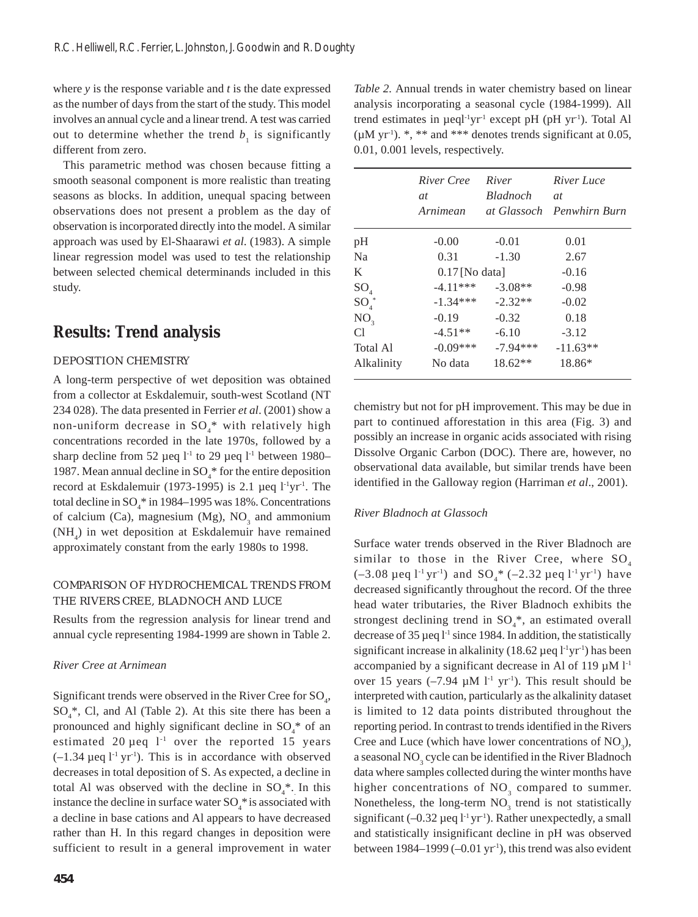where *y* is the response variable and *t* is the date expressed as the number of days from the start of the study. This model involves an annual cycle and a linear trend. A test was carried out to determine whether the trend  $b<sub>1</sub>$  is significantly different from zero.

This parametric method was chosen because fitting a smooth seasonal component is more realistic than treating seasons as blocks. In addition, unequal spacing between observations does not present a problem as the day of observation is incorporated directly into the model. A similar approach was used by El-Shaarawi *et al*. (1983). A simple linear regression model was used to test the relationship between selected chemical determinands included in this study.

# **Results: Trend analysis**

### DEPOSITION CHEMISTRY

A long-term perspective of wet deposition was obtained from a collector at Eskdalemuir, south-west Scotland (NT 234 028). The data presented in Ferrier *et al*. (2001) show a non-uniform decrease in  $SO_4^*$  with relatively high concentrations recorded in the late 1970s, followed by a sharp decline from 52 µeq  $l<sup>-1</sup>$  to 29 µeq  $l<sup>-1</sup>$  between 1980– 1987. Mean annual decline in  $SO_4^*$  for the entire deposition record at Eskdalemuir (1973-1995) is 2.1  $\mu$ eq l<sup>-1</sup>yr<sup>-1</sup>. The total decline in SO<sub>4</sub> $*$  in 1984–1995 was 18%. Concentrations of calcium (Ca), magnesium (Mg),  $NO<sub>3</sub>$  and ammonium (NH4 ) in wet deposition at Eskdalemuir have remained approximately constant from the early 1980s to 1998.

### COMPARISON OF HYDROCHEMICAL TRENDS FROM THE RIVERS CREE, BLADNOCH AND LUCE

Results from the regression analysis for linear trend and annual cycle representing 1984-1999 are shown in Table 2.

#### *River Cree at Arnimean*

Significant trends were observed in the River Cree for  $\text{SO}_4$ ,  $SO_4^*$ , Cl, and Al (Table 2). At this site there has been a pronounced and highly significant decline in  $SO_4^*$  of an estimated 20  $\mu$ eq  $1^{-1}$  over the reported 15 years  $(-1.34 \,\mu$ eq l<sup>-1</sup> yr<sup>-1</sup>). This is in accordance with observed decreases in total deposition of S. As expected, a decline in total Al was observed with the decline in  $SO_4^*$ . In this instance the decline in surface water  $SO_4^*$  is associated with a decline in base cations and Al appears to have decreased rather than H. In this regard changes in deposition were sufficient to result in a general improvement in water

*Table 2.* Annual trends in water chemistry based on linear analysis incorporating a seasonal cycle (1984-1999). All trend estimates in  $\mu$ eql<sup>-1</sup>yr<sup>-1</sup> except pH (pH yr<sup>-1</sup>). Total Al  $(\mu M \text{ yr}^{-1})$ . \*, \*\* and \*\*\* denotes trends significant at 0.05, 0.01, 0.001 levels, respectively.

|                          | River Cree<br>at | River<br>Bladnoch | River Luce<br>at          |  |
|--------------------------|------------------|-------------------|---------------------------|--|
|                          | Arnimean         |                   | at Glassoch Penwhirn Burn |  |
| pН                       | $-0.00$          | $-0.01$           | 0.01                      |  |
| Na                       | 0.31             | $-1.30$           | 2.67                      |  |
| K                        | $0.17$ [No data] | $-0.16$           |                           |  |
| $\mathrm{SO}_4^+$        | $-4.11***$       | $-3.08**$         | $-0.98$                   |  |
| $\mathrm{SO}_4^{\;\ast}$ | $-1.34***$       | $-2.32**$         | $-0.02$                   |  |
| NO <sub>3</sub>          | $-0.19$          | $-0.32$           | 0.18                      |  |
| Сl                       | $-4.51**$        | $-6.10$           | $-3.12$                   |  |
| Total Al                 | $-0.09***$       | $-7.94***$        | $-11.63**$                |  |
| Alkalinity               | No data          | 18.62**           | 18.86*                    |  |

chemistry but not for pH improvement. This may be due in part to continued afforestation in this area (Fig. 3) and possibly an increase in organic acids associated with rising Dissolve Organic Carbon (DOC). There are, however, no observational data available, but similar trends have been identified in the Galloway region (Harriman *et al*., 2001).

#### *River Bladnoch at Glassoch*

Surface water trends observed in the River Bladnoch are similar to those in the River Cree, where  $SO_4$  $(-3.08 \,\mu$ eq  $1^{-1} \,\text{yr}^{-1})$  and  $\text{SO}_4^*$   $(-2.32 \,\mu$ eq  $1^{-1} \,\text{yr}^{-1})$  have decreased significantly throughout the record. Of the three head water tributaries, the River Bladnoch exhibits the strongest declining trend in  $SO_4^*$ , an estimated overall decrease of 35  $\mu$ eq l<sup>-1</sup> since 1984. In addition, the statistically significant increase in alkalinity (18.62  $\mu$ eq l<sup>-1</sup>yr<sup>-1</sup>) has been accompanied by a significant decrease in Al of 119  $\mu$ M l<sup>-1</sup> over 15 years  $(-7.94 \mu M l^{-1} yr^{-1})$ . This result should be interpreted with caution, particularly as the alkalinity dataset is limited to 12 data points distributed throughout the reporting period. In contrast to trends identified in the Rivers Cree and Luce (which have lower concentrations of  $NO_3$ ), a seasonal  $NO<sub>3</sub>$  cycle can be identified in the River Bladnoch data where samples collected during the winter months have higher concentrations of  $NO<sub>3</sub>$  compared to summer. Nonetheless, the long-term  $NO<sub>3</sub>$  trend is not statistically significant  $(-0.32 \mu$ eq  $1^{\text{-}1}$  yr<sup>-1</sup>). Rather unexpectedly, a small and statistically insignificant decline in pH was observed between 1984–1999 (–0.01 yr<sup>-1</sup>), this trend was also evident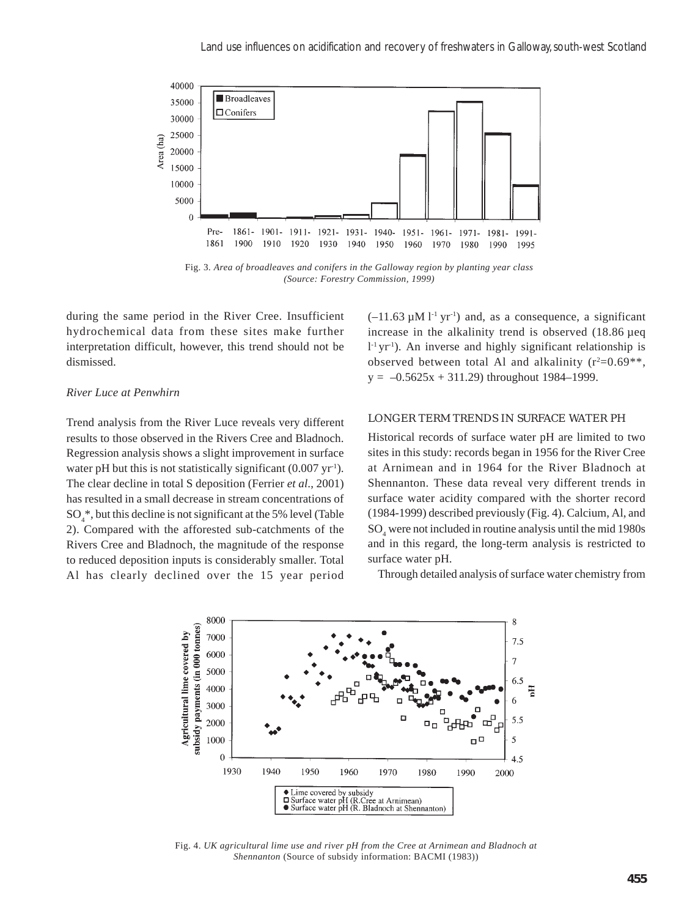

Fig. 3*. Area of broadleaves and conifers in the Galloway region by planting year class (Source: Forestry Commission, 1999)*

during the same period in the River Cree. Insufficient hydrochemical data from these sites make further interpretation difficult, however, this trend should not be dismissed.

### *River Luce at Penwhirn*

Trend analysis from the River Luce reveals very different results to those observed in the Rivers Cree and Bladnoch. Regression analysis shows a slight improvement in surface water pH but this is not statistically significant  $(0.007 \text{ yr}^{-1})$ . The clear decline in total S deposition (Ferrier *et al*., 2001) has resulted in a small decrease in stream concentrations of SO4 \*, but this decline is not significant at the 5% level (Table 2). Compared with the afforested sub-catchments of the Rivers Cree and Bladnoch, the magnitude of the response to reduced deposition inputs is considerably smaller. Total Al has clearly declined over the 15 year period  $(-11.63 \mu M l^{-1} \text{ yr}^{-1})$  and, as a consequence, a significant increase in the alkalinity trend is observed (18.86 µeq  $1^1$ yr<sup>1</sup>). An inverse and highly significant relationship is observed between total Al and alkalinity  $(r^2=0.69**,$  $y = -0.5625x + 311.29$  throughout 1984–1999.

#### LONGER TERM TRENDS IN SURFACE WATER PH

Historical records of surface water pH are limited to two sites in this study: records began in 1956 for the River Cree at Arnimean and in 1964 for the River Bladnoch at Shennanton. These data reveal very different trends in surface water acidity compared with the shorter record (1984-1999) described previously (Fig. 4). Calcium, Al, and SO4 were not included in routine analysis until the mid 1980s and in this regard, the long-term analysis is restricted to surface water pH.

Through detailed analysis of surface water chemistry from



Fig. 4. *UK agricultural lime use and river pH from the Cree at Arnimean and Bladnoch at Shennanton* (Source of subsidy information: BACMI (1983))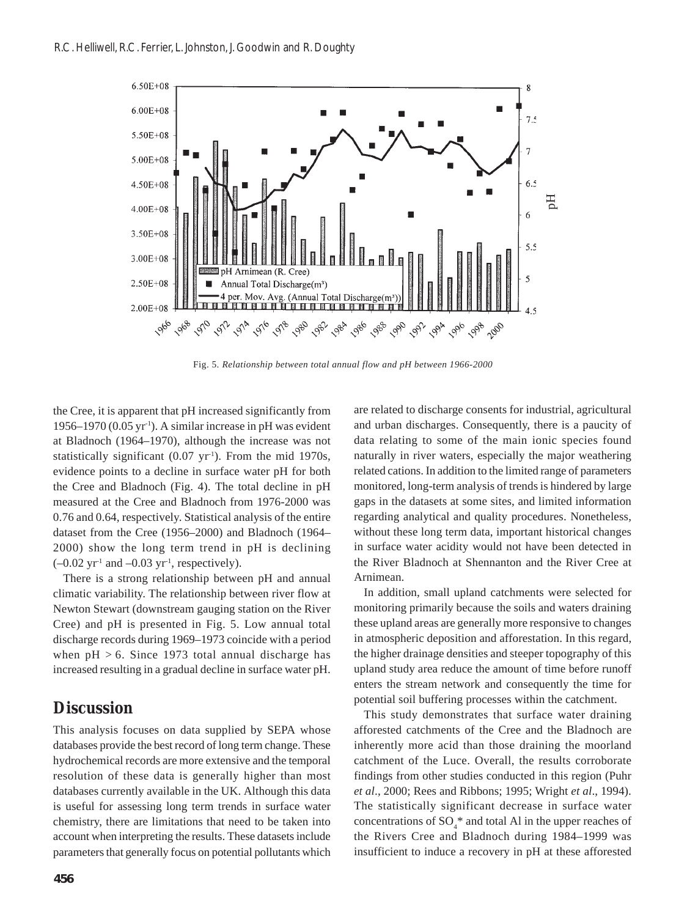

Fig. 5. *Relationship between total annual flow and pH between 1966-2000*

the Cree, it is apparent that pH increased significantly from 1956–1970 (0.05 yr<sup>-1</sup>). A similar increase in pH was evident at Bladnoch (1964–1970), although the increase was not statistically significant (0.07 yr<sup>1</sup>). From the mid 1970s, evidence points to a decline in surface water pH for both the Cree and Bladnoch (Fig. 4). The total decline in pH measured at the Cree and Bladnoch from 1976-2000 was 0.76 and 0.64, respectively. Statistical analysis of the entire dataset from the Cree (1956–2000) and Bladnoch (1964– 2000) show the long term trend in pH is declining  $(-0.02 \text{ yr}^{-1}$  and  $-0.03 \text{ yr}^{-1}$ , respectively).

There is a strong relationship between pH and annual climatic variability. The relationship between river flow at Newton Stewart (downstream gauging station on the River Cree) and pH is presented in Fig. 5. Low annual total discharge records during 1969–1973 coincide with a period when  $pH > 6$ . Since 1973 total annual discharge has increased resulting in a gradual decline in surface water pH.

### **Discussion**

This analysis focuses on data supplied by SEPA whose databases provide the best record of long term change. These hydrochemical records are more extensive and the temporal resolution of these data is generally higher than most databases currently available in the UK. Although this data is useful for assessing long term trends in surface water chemistry, there are limitations that need to be taken into account when interpreting the results. These datasets include parameters that generally focus on potential pollutants which

are related to discharge consents for industrial, agricultural and urban discharges. Consequently, there is a paucity of data relating to some of the main ionic species found naturally in river waters, especially the major weathering related cations. In addition to the limited range of parameters monitored, long-term analysis of trends is hindered by large gaps in the datasets at some sites, and limited information regarding analytical and quality procedures. Nonetheless, without these long term data, important historical changes in surface water acidity would not have been detected in the River Bladnoch at Shennanton and the River Cree at Arnimean.

In addition, small upland catchments were selected for monitoring primarily because the soils and waters draining these upland areas are generally more responsive to changes in atmospheric deposition and afforestation. In this regard, the higher drainage densities and steeper topography of this upland study area reduce the amount of time before runoff enters the stream network and consequently the time for potential soil buffering processes within the catchment.

This study demonstrates that surface water draining afforested catchments of the Cree and the Bladnoch are inherently more acid than those draining the moorland catchment of the Luce. Overall, the results corroborate findings from other studies conducted in this region (Puhr *et al*., 2000; Rees and Ribbons; 1995; Wright *et al*., 1994). The statistically significant decrease in surface water concentrations of  $SO_4^*$  and total Al in the upper reaches of the Rivers Cree and Bladnoch during 1984–1999 was insufficient to induce a recovery in pH at these afforested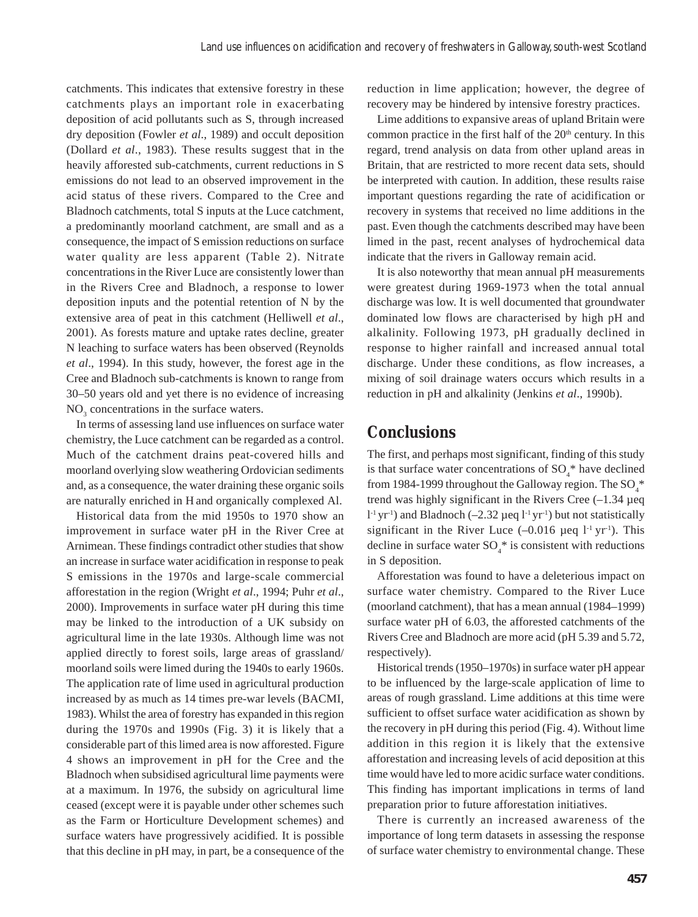catchments. This indicates that extensive forestry in these catchments plays an important role in exacerbating deposition of acid pollutants such as S, through increased dry deposition (Fowler *et al*., 1989) and occult deposition (Dollard *et al*., 1983). These results suggest that in the heavily afforested sub-catchments, current reductions in S emissions do not lead to an observed improvement in the acid status of these rivers. Compared to the Cree and Bladnoch catchments, total S inputs at the Luce catchment, a predominantly moorland catchment, are small and as a consequence, the impact of S emission reductions on surface water quality are less apparent (Table 2). Nitrate concentrations in the River Luce are consistently lower than in the Rivers Cree and Bladnoch, a response to lower deposition inputs and the potential retention of N by the extensive area of peat in this catchment (Helliwell *et al*., 2001). As forests mature and uptake rates decline, greater N leaching to surface waters has been observed (Reynolds *et al*., 1994). In this study, however, the forest age in the Cree and Bladnoch sub-catchments is known to range from 30–50 years old and yet there is no evidence of increasing  $NO<sub>3</sub>$  concentrations in the surface waters.

In terms of assessing land use influences on surface water chemistry, the Luce catchment can be regarded as a control. Much of the catchment drains peat-covered hills and moorland overlying slow weathering Ordovician sediments and, as a consequence, the water draining these organic soils are naturally enriched in H and organically complexed Al.

Historical data from the mid 1950s to 1970 show an improvement in surface water pH in the River Cree at Arnimean. These findings contradict other studies that show an increase in surface water acidification in response to peak S emissions in the 1970s and large-scale commercial afforestation in the region (Wright *et al*., 1994; Puhr *et al*., 2000). Improvements in surface water pH during this time may be linked to the introduction of a UK subsidy on agricultural lime in the late 1930s. Although lime was not applied directly to forest soils, large areas of grassland/ moorland soils were limed during the 1940s to early 1960s. The application rate of lime used in agricultural production increased by as much as 14 times pre-war levels (BACMI, 1983). Whilst the area of forestry has expanded in this region during the 1970s and 1990s (Fig. 3) it is likely that a considerable part of this limed area is now afforested. Figure 4 shows an improvement in pH for the Cree and the Bladnoch when subsidised agricultural lime payments were at a maximum. In 1976, the subsidy on agricultural lime ceased (except were it is payable under other schemes such as the Farm or Horticulture Development schemes) and surface waters have progressively acidified. It is possible that this decline in pH may, in part, be a consequence of the

reduction in lime application; however, the degree of recovery may be hindered by intensive forestry practices.

Lime additions to expansive areas of upland Britain were common practice in the first half of the 20<sup>th</sup> century. In this regard, trend analysis on data from other upland areas in Britain, that are restricted to more recent data sets, should be interpreted with caution. In addition, these results raise important questions regarding the rate of acidification or recovery in systems that received no lime additions in the past. Even though the catchments described may have been limed in the past, recent analyses of hydrochemical data indicate that the rivers in Galloway remain acid.

It is also noteworthy that mean annual pH measurements were greatest during 1969-1973 when the total annual discharge was low. It is well documented that groundwater dominated low flows are characterised by high pH and alkalinity. Following 1973, pH gradually declined in response to higher rainfall and increased annual total discharge. Under these conditions, as flow increases, a mixing of soil drainage waters occurs which results in a reduction in pH and alkalinity (Jenkins *et al*., 1990b).

## **Conclusions**

The first, and perhaps most significant, finding of this study is that surface water concentrations of  $SO_4^*$  have declined from 1984-1999 throughout the Galloway region. The  $\mathrm{SO}_4^{\;*}$ trend was highly significant in the Rivers Cree  $(-1.34 \mu$ eq  $1<sup>-1</sup>$  yr<sup>-1</sup>) and Bladnoch (-2.32 µeq  $1<sup>-1</sup>$  yr<sup>-1</sup>) but not statistically significant in the River Luce  $(-0.016 \text{ }\mu\text{eq}\text{ }1^{1} \text{ yr}^{1})$ . This decline in surface water  $SO_4^*$  is consistent with reductions in S deposition.

Afforestation was found to have a deleterious impact on surface water chemistry. Compared to the River Luce (moorland catchment), that has a mean annual (1984–1999) surface water pH of 6.03, the afforested catchments of the Rivers Cree and Bladnoch are more acid (pH 5.39 and 5.72, respectively).

Historical trends (1950–1970s) in surface water pH appear to be influenced by the large-scale application of lime to areas of rough grassland. Lime additions at this time were sufficient to offset surface water acidification as shown by the recovery in pH during this period (Fig. 4). Without lime addition in this region it is likely that the extensive afforestation and increasing levels of acid deposition at this time would have led to more acidic surface water conditions. This finding has important implications in terms of land preparation prior to future afforestation initiatives.

There is currently an increased awareness of the importance of long term datasets in assessing the response of surface water chemistry to environmental change. These